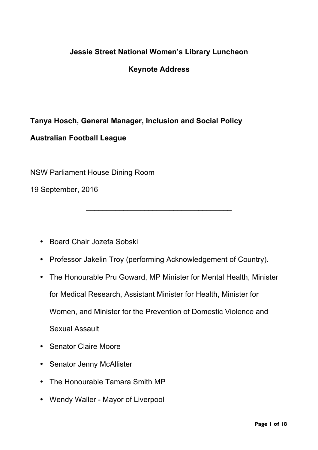## **Jessie Street National Women's Library Luncheon**

**Keynote Address**

## **Tanya Hosch, General Manager, Inclusion and Social Policy Australian Football League**

NSW Parliament House Dining Room

19 September, 2016

- Board Chair Jozefa Sobski
- Professor Jakelin Troy (performing Acknowledgement of Country).

\_\_\_\_\_\_\_\_\_\_\_\_\_\_\_\_\_\_\_\_\_\_\_\_\_\_\_\_\_\_\_\_\_\_\_

- The Honourable Pru Goward, MP Minister for Mental Health, Minister for Medical Research, Assistant Minister for Health, Minister for Women, and Minister for the Prevention of Domestic Violence and Sexual Assault
- Senator Claire Moore
- Senator Jenny McAllister
- The Honourable Tamara Smith MP
- Wendy Waller Mayor of Liverpool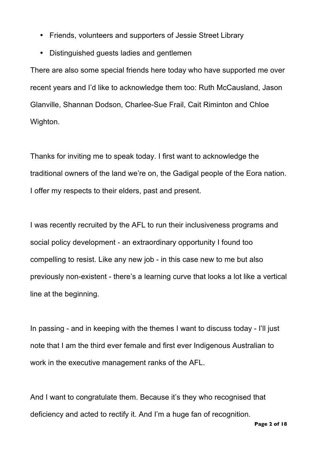- Friends, volunteers and supporters of Jessie Street Library
- Distinguished guests ladies and gentlemen

There are also some special friends here today who have supported me over recent years and I'd like to acknowledge them too: Ruth McCausland, Jason Glanville, Shannan Dodson, Charlee-Sue Frail, Cait Riminton and Chloe Wighton.

Thanks for inviting me to speak today. I first want to acknowledge the traditional owners of the land we're on, the Gadigal people of the Eora nation. I offer my respects to their elders, past and present.

I was recently recruited by the AFL to run their inclusiveness programs and social policy development - an extraordinary opportunity I found too compelling to resist. Like any new job - in this case new to me but also previously non-existent - there's a learning curve that looks a lot like a vertical line at the beginning.

In passing - and in keeping with the themes I want to discuss today - I'll just note that I am the third ever female and first ever Indigenous Australian to work in the executive management ranks of the AFL.

And I want to congratulate them. Because it's they who recognised that deficiency and acted to rectify it. And I'm a huge fan of recognition.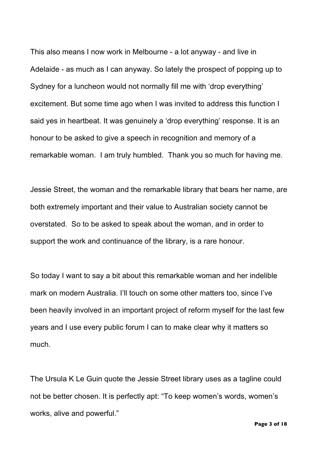This also means I now work in Melbourne - a lot anyway - and live in Adelaide - as much as I can anyway. So lately the prospect of popping up to Sydney for a luncheon would not normally fill me with 'drop everything' excitement. But some time ago when I was invited to address this function I said yes in heartbeat. It was genuinely a 'drop everything' response. It is an honour to be asked to give a speech in recognition and memory of a remarkable woman. I am truly humbled. Thank you so much for having me.

Jessie Street, the woman and the remarkable library that bears her name, are both extremely important and their value to Australian society cannot be overstated. So to be asked to speak about the woman, and in order to support the work and continuance of the library, is a rare honour.

So today I want to say a bit about this remarkable woman and her indelible mark on modern Australia. I'll touch on some other matters too, since I've been heavily involved in an important project of reform myself for the last few years and I use every public forum I can to make clear why it matters so much.

The Ursula K Le Guin quote the Jessie Street library uses as a tagline could not be better chosen. It is perfectly apt: "To keep women's words, women's works, alive and powerful."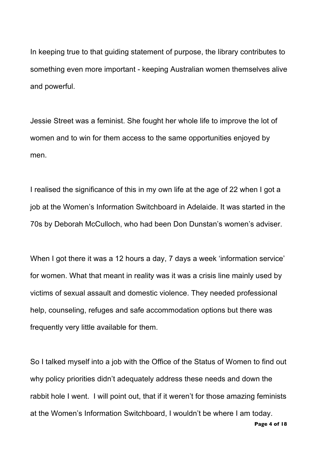In keeping true to that guiding statement of purpose, the library contributes to something even more important - keeping Australian women themselves alive and powerful.

Jessie Street was a feminist. She fought her whole life to improve the lot of women and to win for them access to the same opportunities enjoyed by men.

I realised the significance of this in my own life at the age of 22 when I got a job at the Women's Information Switchboard in Adelaide. It was started in the 70s by Deborah McCulloch, who had been Don Dunstan's women's adviser.

When I got there it was a 12 hours a day, 7 days a week 'information service' for women. What that meant in reality was it was a crisis line mainly used by victims of sexual assault and domestic violence. They needed professional help, counseling, refuges and safe accommodation options but there was frequently very little available for them.

So I talked myself into a job with the Office of the Status of Women to find out why policy priorities didn't adequately address these needs and down the rabbit hole I went. I will point out, that if it weren't for those amazing feminists at the Women's Information Switchboard, I wouldn't be where I am today.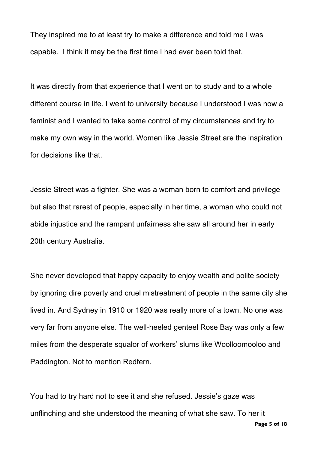They inspired me to at least try to make a difference and told me I was capable. I think it may be the first time I had ever been told that.

It was directly from that experience that I went on to study and to a whole different course in life. I went to university because I understood I was now a feminist and I wanted to take some control of my circumstances and try to make my own way in the world. Women like Jessie Street are the inspiration for decisions like that.

Jessie Street was a fighter. She was a woman born to comfort and privilege but also that rarest of people, especially in her time, a woman who could not abide injustice and the rampant unfairness she saw all around her in early 20th century Australia.

She never developed that happy capacity to enjoy wealth and polite society by ignoring dire poverty and cruel mistreatment of people in the same city she lived in. And Sydney in 1910 or 1920 was really more of a town. No one was very far from anyone else. The well-heeled genteel Rose Bay was only a few miles from the desperate squalor of workers' slums like Woolloomooloo and Paddington. Not to mention Redfern.

You had to try hard not to see it and she refused. Jessie's gaze was unflinching and she understood the meaning of what she saw. To her it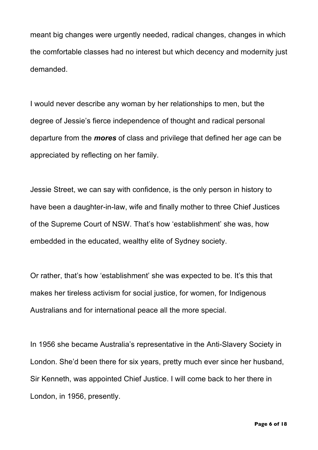meant big changes were urgently needed, radical changes, changes in which the comfortable classes had no interest but which decency and modernity just demanded.

I would never describe any woman by her relationships to men, but the degree of Jessie's fierce independence of thought and radical personal departure from the *mores* of class and privilege that defined her age can be appreciated by reflecting on her family.

Jessie Street, we can say with confidence, is the only person in history to have been a daughter-in-law, wife and finally mother to three Chief Justices of the Supreme Court of NSW. That's how 'establishment' she was, how embedded in the educated, wealthy elite of Sydney society.

Or rather, that's how 'establishment' she was expected to be. It's this that makes her tireless activism for social justice, for women, for Indigenous Australians and for international peace all the more special.

In 1956 she became Australia's representative in the Anti-Slavery Society in London. She'd been there for six years, pretty much ever since her husband, Sir Kenneth, was appointed Chief Justice. I will come back to her there in London, in 1956, presently.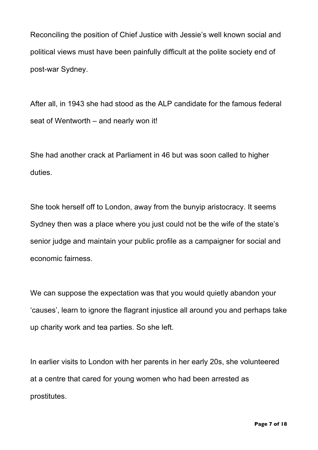Reconciling the position of Chief Justice with Jessie's well known social and political views must have been painfully difficult at the polite society end of post-war Sydney.

After all, in 1943 she had stood as the ALP candidate for the famous federal seat of Wentworth – and nearly won it!

She had another crack at Parliament in 46 but was soon called to higher duties.

She took herself off to London, away from the bunyip aristocracy. It seems Sydney then was a place where you just could not be the wife of the state's senior judge and maintain your public profile as a campaigner for social and economic fairness.

We can suppose the expectation was that you would quietly abandon your 'causes', learn to ignore the flagrant injustice all around you and perhaps take up charity work and tea parties. So she left.

In earlier visits to London with her parents in her early 20s, she volunteered at a centre that cared for young women who had been arrested as prostitutes.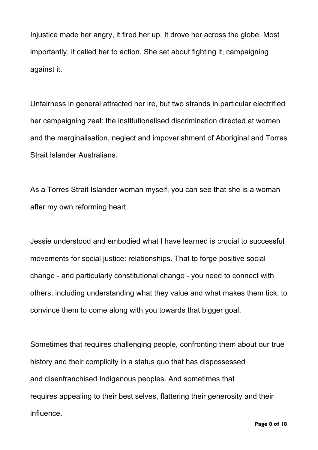Injustice made her angry, it fired her up. It drove her across the globe. Most importantly, it called her to action. She set about fighting it, campaigning against it.

Unfairness in general attracted her ire, but two strands in particular electrified her campaigning zeal: the institutionalised discrimination directed at women and the marginalisation, neglect and impoverishment of Aboriginal and Torres Strait Islander Australians.

As a Torres Strait Islander woman myself, you can see that she is a woman after my own reforming heart.

Jessie understood and embodied what I have learned is crucial to successful movements for social justice: relationships. That to forge positive social change - and particularly constitutional change - you need to connect with others, including understanding what they value and what makes them tick, to convince them to come along with you towards that bigger goal.

Sometimes that requires challenging people, confronting them about our true history and their complicity in a status quo that has dispossessed and disenfranchised Indigenous peoples. And sometimes that requires appealing to their best selves, flattering their generosity and their influence.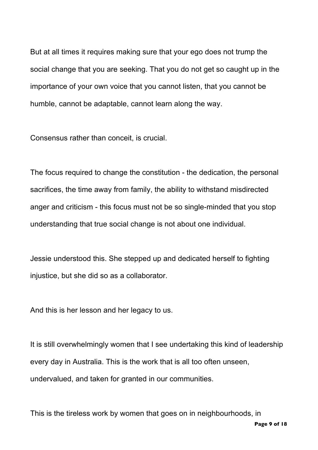But at all times it requires making sure that your ego does not trump the social change that you are seeking. That you do not get so caught up in the importance of your own voice that you cannot listen, that you cannot be humble, cannot be adaptable, cannot learn along the way.

Consensus rather than conceit, is crucial.

The focus required to change the constitution - the dedication, the personal sacrifices, the time away from family, the ability to withstand misdirected anger and criticism - this focus must not be so single-minded that you stop understanding that true social change is not about one individual.

Jessie understood this. She stepped up and dedicated herself to fighting injustice, but she did so as a collaborator.

And this is her lesson and her legacy to us.

It is still overwhelmingly women that I see undertaking this kind of leadership every day in Australia. This is the work that is all too often unseen, undervalued, and taken for granted in our communities.

This is the tireless work by women that goes on in neighbourhoods, in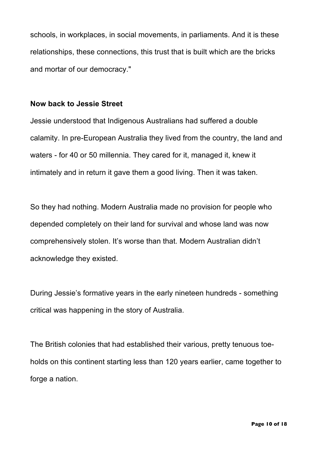schools, in workplaces, in social movements, in parliaments. And it is these relationships, these connections, this trust that is built which are the bricks and mortar of our democracy."

## **Now back to Jessie Street**

Jessie understood that Indigenous Australians had suffered a double calamity. In pre-European Australia they lived from the country, the land and waters - for 40 or 50 millennia. They cared for it, managed it, knew it intimately and in return it gave them a good living. Then it was taken.

So they had nothing. Modern Australia made no provision for people who depended completely on their land for survival and whose land was now comprehensively stolen. It's worse than that. Modern Australian didn't acknowledge they existed.

During Jessie's formative years in the early nineteen hundreds - something critical was happening in the story of Australia.

The British colonies that had established their various, pretty tenuous toeholds on this continent starting less than 120 years earlier, came together to forge a nation.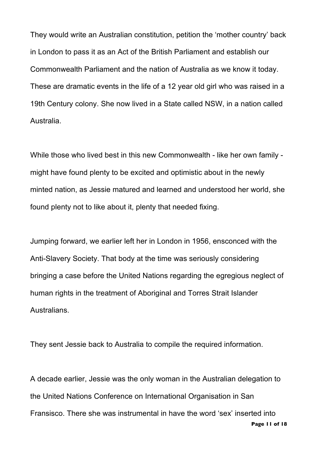They would write an Australian constitution, petition the 'mother country' back in London to pass it as an Act of the British Parliament and establish our Commonwealth Parliament and the nation of Australia as we know it today. These are dramatic events in the life of a 12 year old girl who was raised in a 19th Century colony. She now lived in a State called NSW, in a nation called Australia.

While those who lived best in this new Commonwealth - like her own family might have found plenty to be excited and optimistic about in the newly minted nation, as Jessie matured and learned and understood her world, she found plenty not to like about it, plenty that needed fixing.

Jumping forward, we earlier left her in London in 1956, ensconced with the Anti-Slavery Society. That body at the time was seriously considering bringing a case before the United Nations regarding the egregious neglect of human rights in the treatment of Aboriginal and Torres Strait Islander Australians.

They sent Jessie back to Australia to compile the required information.

A decade earlier, Jessie was the only woman in the Australian delegation to the United Nations Conference on International Organisation in San Fransisco. There she was instrumental in have the word 'sex' inserted into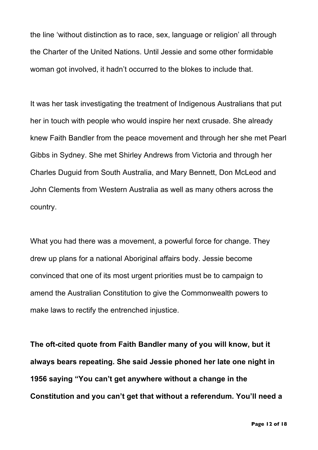the line 'without distinction as to race, sex, language or religion' all through the Charter of the United Nations. Until Jessie and some other formidable woman got involved, it hadn't occurred to the blokes to include that.

It was her task investigating the treatment of Indigenous Australians that put her in touch with people who would inspire her next crusade. She already knew Faith Bandler from the peace movement and through her she met Pearl Gibbs in Sydney. She met Shirley Andrews from Victoria and through her Charles Duguid from South Australia, and Mary Bennett, Don McLeod and John Clements from Western Australia as well as many others across the country.

What you had there was a movement, a powerful force for change. They drew up plans for a national Aboriginal affairs body. Jessie become convinced that one of its most urgent priorities must be to campaign to amend the Australian Constitution to give the Commonwealth powers to make laws to rectify the entrenched injustice.

**The oft-cited quote from Faith Bandler many of you will know, but it always bears repeating. She said Jessie phoned her late one night in 1956 saying "You can't get anywhere without a change in the Constitution and you can't get that without a referendum. You'll need a**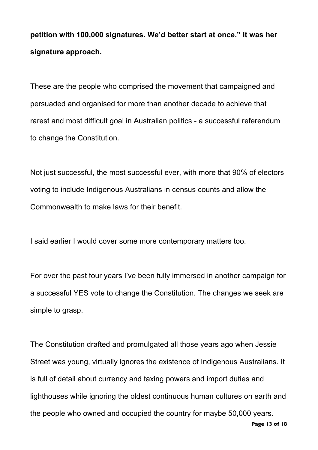**petition with 100,000 signatures. We'd better start at once." It was her signature approach.**

These are the people who comprised the movement that campaigned and persuaded and organised for more than another decade to achieve that rarest and most difficult goal in Australian politics - a successful referendum to change the Constitution.

Not just successful, the most successful ever, with more that 90% of electors voting to include Indigenous Australians in census counts and allow the Commonwealth to make laws for their benefit.

I said earlier I would cover some more contemporary matters too.

For over the past four years I've been fully immersed in another campaign for a successful YES vote to change the Constitution. The changes we seek are simple to grasp.

The Constitution drafted and promulgated all those years ago when Jessie Street was young, virtually ignores the existence of Indigenous Australians. It is full of detail about currency and taxing powers and import duties and lighthouses while ignoring the oldest continuous human cultures on earth and the people who owned and occupied the country for maybe 50,000 years.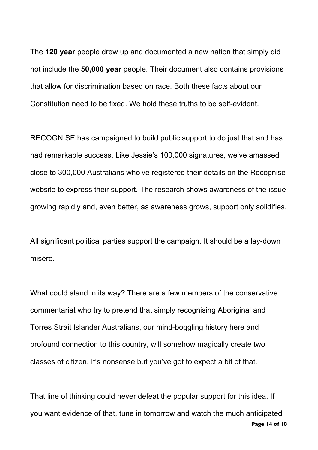The **120 year** people drew up and documented a new nation that simply did not include the **50,000 year** people. Their document also contains provisions that allow for discrimination based on race. Both these facts about our Constitution need to be fixed. We hold these truths to be self-evident.

RECOGNISE has campaigned to build public support to do just that and has had remarkable success. Like Jessie's 100,000 signatures, we've amassed close to 300,000 Australians who've registered their details on the Recognise website to express their support. The research shows awareness of the issue growing rapidly and, even better, as awareness grows, support only solidifies.

All significant political parties support the campaign. It should be a lay-down misère.

What could stand in its way? There are a few members of the conservative commentariat who try to pretend that simply recognising Aboriginal and Torres Strait Islander Australians, our mind-boggling history here and profound connection to this country, will somehow magically create two classes of citizen. It's nonsense but you've got to expect a bit of that.

**Page 14 of 18** That line of thinking could never defeat the popular support for this idea. If you want evidence of that, tune in tomorrow and watch the much anticipated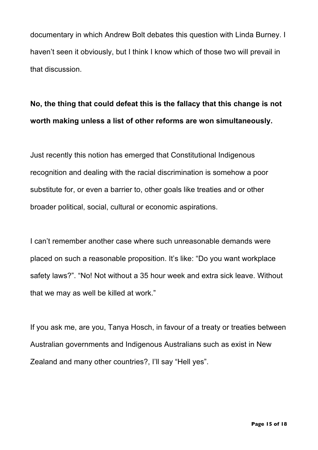documentary in which Andrew Bolt debates this question with Linda Burney. I haven't seen it obviously, but I think I know which of those two will prevail in that discussion.

## **No, the thing that could defeat this is the fallacy that this change is not worth making unless a list of other reforms are won simultaneously.**

Just recently this notion has emerged that Constitutional Indigenous recognition and dealing with the racial discrimination is somehow a poor substitute for, or even a barrier to, other goals like treaties and or other broader political, social, cultural or economic aspirations.

I can't remember another case where such unreasonable demands were placed on such a reasonable proposition. It's like: "Do you want workplace safety laws?". "No! Not without a 35 hour week and extra sick leave. Without that we may as well be killed at work."

If you ask me, are you, Tanya Hosch, in favour of a treaty or treaties between Australian governments and Indigenous Australians such as exist in New Zealand and many other countries?, I'll say "Hell yes".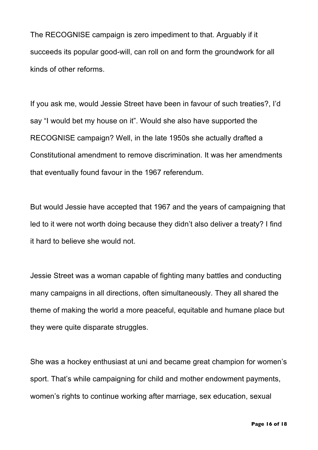The RECOGNISE campaign is zero impediment to that. Arguably if it succeeds its popular good-will, can roll on and form the groundwork for all kinds of other reforms.

If you ask me, would Jessie Street have been in favour of such treaties?, I'd say "I would bet my house on it". Would she also have supported the RECOGNISE campaign? Well, in the late 1950s she actually drafted a Constitutional amendment to remove discrimination. It was her amendments that eventually found favour in the 1967 referendum.

But would Jessie have accepted that 1967 and the years of campaigning that led to it were not worth doing because they didn't also deliver a treaty? I find it hard to believe she would not.

Jessie Street was a woman capable of fighting many battles and conducting many campaigns in all directions, often simultaneously. They all shared the theme of making the world a more peaceful, equitable and humane place but they were quite disparate struggles.

She was a hockey enthusiast at uni and became great champion for women's sport. That's while campaigning for child and mother endowment payments, women's rights to continue working after marriage, sex education, sexual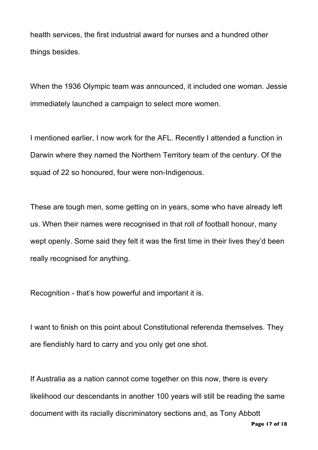health services, the first industrial award for nurses and a hundred other things besides.

When the 1936 Olympic team was announced, it included one woman. Jessie immediately launched a campaign to select more women.

I mentioned earlier, I now work for the AFL. Recently I attended a function in Darwin where they named the Northern Territory team of the century. Of the squad of 22 so honoured, four were non-Indigenous.

These are tough men, some getting on in years, some who have already left us. When their names were recognised in that roll of football honour, many wept openly. Some said they felt it was the first time in their lives they'd been really recognised for anything.

Recognition - that's how powerful and important it is.

I want to finish on this point about Constitutional referenda themselves. They are fiendishly hard to carry and you only get one shot.

If Australia as a nation cannot come together on this now, there is every likelihood our descendants in another 100 years will still be reading the same document with its racially discriminatory sections and, as Tony Abbott